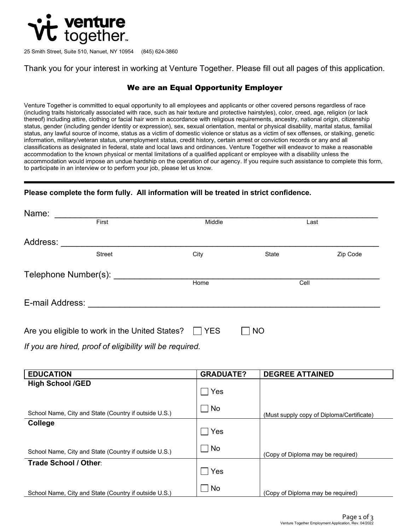

25 Smith Street, Suite 510, Nanuet, NY 10954 (845) 624-3860

Thank you for your interest in working at Venture Together. Please fill out all pages of this application.

## We are an Equal Opportunity Employer

Venture Together is committed to equal opportunity to all employees and applicants or other covered persons regardless of race (including traits historically associated with race, such as hair texture and protective hairstyles), color, creed, age, religion (or lack thereof) including attire, clothing or facial hair worn in accordance with religious requirements, ancestry, national origin, citizenship status, gender (including gender identity or expression), sex, sexual orientation, mental or physical disability, marital status, familial status, any lawful source of income, status as a victim of domestic violence or status as a victim of sex offenses, or stalking, genetic information, military/veteran status, unemployment status, credit history, certain arrest or conviction records or any and all classifications as designated in federal, state and local laws and ordinances. Venture Together will endeavor to make a reasonable accommodation to the known physical or mental limitations of a qualified applicant or employee with a disability unless the accommodation would impose an undue hardship on the operation of our agency. If you require such assistance to complete this form, to participate in an interview or to perform your job, please let us know.

## **Please complete the form fully. All information will be treated in strict confidence.**

| Name:                                          |                      |            |                             |          |
|------------------------------------------------|----------------------|------------|-----------------------------|----------|
|                                                | First                | Middle     |                             | Last     |
| Address:                                       |                      |            |                             |          |
|                                                | <b>Street</b>        | City       | State                       | Zip Code |
|                                                | Telephone Number(s): |            |                             |          |
|                                                |                      | Home       | Cell                        |          |
| E-mail Address:                                |                      |            |                             |          |
|                                                |                      |            |                             |          |
| Are you eligible to work in the United States? |                      | <b>YES</b> | $\overline{\phantom{a}}$ NO |          |

*If you are hired, proof of eligibility will be required.*

| <b>EDUCATION</b>                                      | <b>GRADUATE?</b> | <b>DEGREE ATTAINED</b>                    |
|-------------------------------------------------------|------------------|-------------------------------------------|
| <b>High School /GED</b>                               | Yes              |                                           |
| School Name, City and State (Country if outside U.S.) | $\Box$ No        | (Must supply copy of Diploma/Certificate) |
| College                                               | Yes              |                                           |
| School Name, City and State (Country if outside U.S.) | $\Box$ No        | (Copy of Diploma may be required)         |
| Trade School / Other:                                 | Yes              |                                           |
| School Name, City and State (Country if outside U.S.) | $\Box$ No        | (Copy of Diploma may be required)         |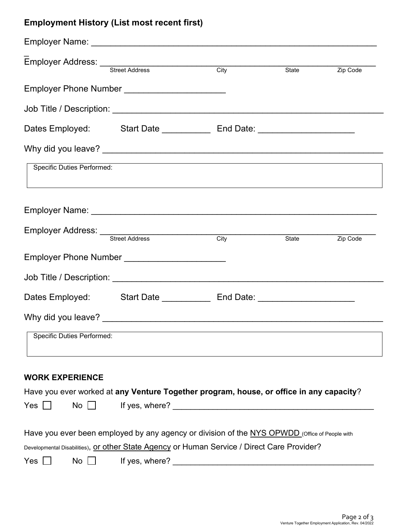## **Employment History (List most recent first)**

|                                   | Employer Address: Street Address City                                                         |  |  | State <b>Zip Code</b> |  |  |
|-----------------------------------|-----------------------------------------------------------------------------------------------|--|--|-----------------------|--|--|
|                                   | Employer Phone Number _________________________                                               |  |  |                       |  |  |
|                                   |                                                                                               |  |  |                       |  |  |
|                                   |                                                                                               |  |  |                       |  |  |
|                                   |                                                                                               |  |  |                       |  |  |
| <b>Specific Duties Performed:</b> |                                                                                               |  |  |                       |  |  |
|                                   |                                                                                               |  |  |                       |  |  |
|                                   | Employer Address: <u>Street Address</u> City                                                  |  |  | State <b>Zip Code</b> |  |  |
|                                   | Employer Phone Number ________________________                                                |  |  |                       |  |  |
|                                   |                                                                                               |  |  |                       |  |  |
|                                   | Dates Employed: Start Date ________________ End Date: __________________________              |  |  |                       |  |  |
|                                   |                                                                                               |  |  |                       |  |  |
| Specific Duties Performed:        |                                                                                               |  |  |                       |  |  |
| <b>WORK EXPERIENCE</b>            |                                                                                               |  |  |                       |  |  |
|                                   | Have you ever worked at any Venture Together program, house, or office in any capacity?       |  |  |                       |  |  |
| Yes  <br>$No$                     |                                                                                               |  |  |                       |  |  |
|                                   | Have you ever been employed by any agency or division of the NYS OPWDD (Office of People with |  |  |                       |  |  |
|                                   | Developmental Disabilities), or other State Agency or Human Service / Direct Care Provider?   |  |  |                       |  |  |
| Yes<br>$No$                       |                                                                                               |  |  |                       |  |  |